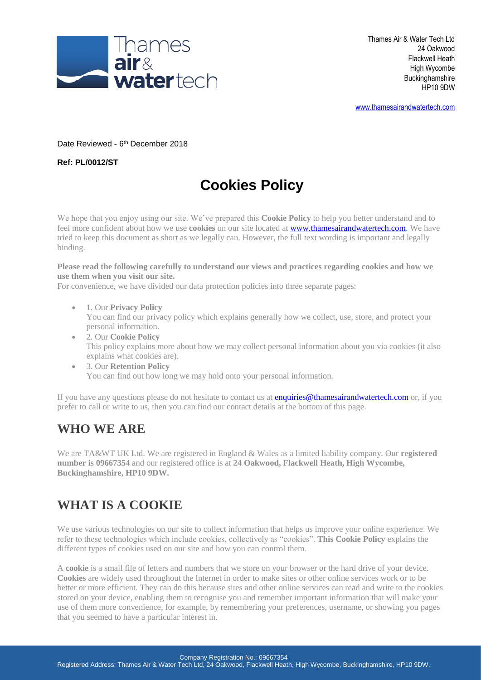

[www.thamesairandwatertech.com](http://www.thamesairandwatertech.com/)

Date Reviewed - 6<sup>th</sup> December 2018

**Ref: PL/0012/ST**

# **Cookies Policy**

We hope that you enjoy using our site. We've prepared this **Cookie Policy** to help you better understand and to feel more confident about how we use **cookies** on our site located at [www.thamesairandwatertech.com.](http://www.thamesairandwatertech.com/) We have tried to keep this document as short as we legally can. However, the full text wording is important and legally binding.

**Please read the following carefully to understand our views and practices regarding cookies and how we use them when you visit our site.**

For convenience, we have divided our data protection policies into three separate pages:

- 1. Our **Privacy Policy** You can find our privacy policy which explains generally how we collect, use, store, and protect your personal information.
- 2. Our **Cookie Policy** This policy explains more about how we may collect personal information about you via cookies (it also explains what cookies are).
- 3. Our **Retention Policy** You can find out how long we may hold onto your personal information.

If you have any questions please do not hesitate to contact us at **enquiries@thamesairandwatertech.com** or, if you prefer to call or write to us, then you can find our contact details at the bottom of this page.

### **WHO WE ARE**

We are TA&WT UK Ltd. We are registered in England & Wales as a limited liability company. Our **registered number is 09667354** and our registered office is at **24 Oakwood, Flackwell Heath, High Wycombe, Buckinghamshire, HP10 9DW.**

### **WHAT IS A COOKIE**

We use various technologies on our site to collect information that helps us improve your online experience. We refer to these technologies which include cookies, collectively as "cookies". **This Cookie Policy** explains the different types of cookies used on our site and how you can control them.

A **cookie** is a small file of letters and numbers that we store on your browser or the hard drive of your device. **Cookies** are widely used throughout the Internet in order to make sites or other online services work or to be better or more efficient. They can do this because sites and other online services can read and write to the cookies stored on your device, enabling them to recognise you and remember important information that will make your use of them more convenience, for example, by remembering your preferences, username, or showing you pages that you seemed to have a particular interest in.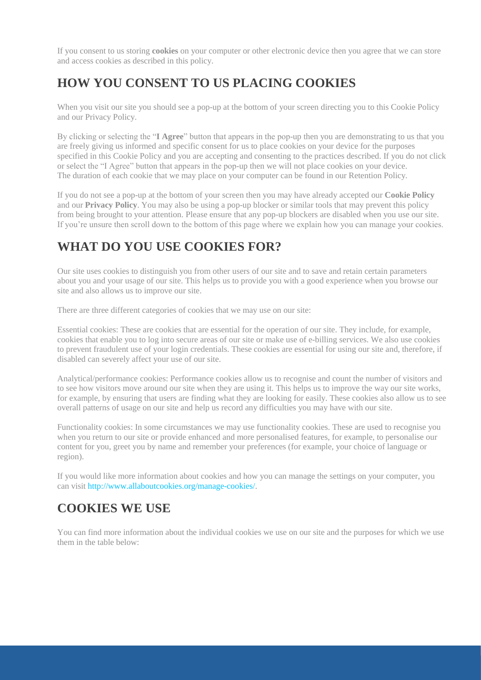If you consent to us storing **cookies** on your computer or other electronic device then you agree that we can store and access cookies as described in this policy.

### **HOW YOU CONSENT TO US PLACING COOKIES**

When you visit our site you should see a pop-up at the bottom of your screen directing you to this Cookie Policy and our Privacy Policy.

By clicking or selecting the "**I Agree**" button that appears in the pop-up then you are demonstrating to us that you are freely giving us informed and specific consent for us to place cookies on your device for the purposes specified in this Cookie Policy and you are accepting and consenting to the practices described. If you do not click or select the "I Agree" button that appears in the pop-up then we will not place cookies on your device. The duration of each cookie that we may place on your computer can be found in our Retention Policy.

If you do not see a pop-up at the bottom of your screen then you may have already accepted our **Cookie Policy** and our **Privacy Policy**. You may also be using a pop-up blocker or similar tools that may prevent this policy from being brought to your attention. Please ensure that any pop-up blockers are disabled when you use our site. If you're unsure then scroll down to the bottom of this page where we explain how you can manage your cookies.

### **WHAT DO YOU USE COOKIES FOR?**

Our site uses cookies to distinguish you from other users of our site and to save and retain certain parameters about you and your usage of our site. This helps us to provide you with a good experience when you browse our site and also allows us to improve our site.

There are three different categories of cookies that we may use on our site:

Essential cookies: These are cookies that are essential for the operation of our site. They include, for example, cookies that enable you to log into secure areas of our site or make use of e-billing services. We also use cookies to prevent fraudulent use of your login credentials. These cookies are essential for using our site and, therefore, if disabled can severely affect your use of our site.

Analytical/performance cookies: Performance cookies allow us to recognise and count the number of visitors and to see how visitors move around our site when they are using it. This helps us to improve the way our site works, for example, by ensuring that users are finding what they are looking for easily. These cookies also allow us to see overall patterns of usage on our site and help us record any difficulties you may have with our site.

Functionality cookies: In some circumstances we may use functionality cookies. These are used to recognise you when you return to our site or provide enhanced and more personalised features, for example, to personalise our content for you, greet you by name and remember your preferences (for example, your choice of language or region).

If you would like more information about cookies and how you can manage the settings on your computer, you can visit [http://www.allaboutcookies.org/manage-cookies/.](http://www.allaboutcookies.org/manage-cookies/)

### **COOKIES WE USE**

You can find more information about the individual cookies we use on our site and the purposes for which we use them in the table below: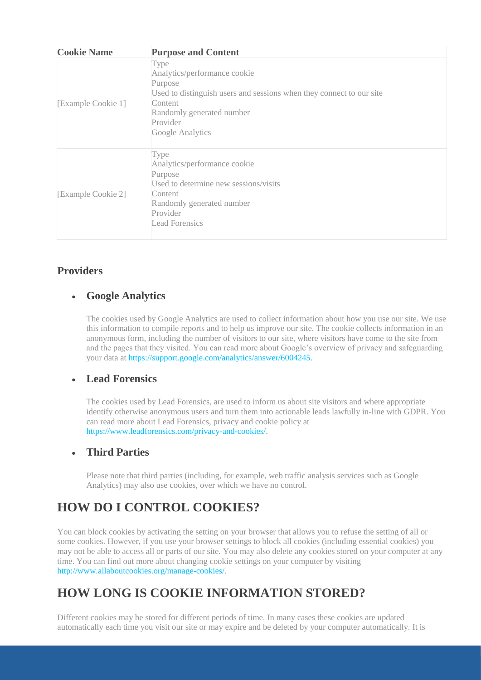| <b>Cookie Name</b> | <b>Purpose and Content</b>                                                                                                                                                                      |
|--------------------|-------------------------------------------------------------------------------------------------------------------------------------------------------------------------------------------------|
| [Example Cookie 1] | Type<br>Analytics/performance cookie<br>Purpose<br>Used to distinguish users and sessions when they connect to our site<br>Content<br>Randomly generated number<br>Provider<br>Google Analytics |
| [Example Cookie 2] | Type<br>Analytics/performance cookie<br>Purpose<br>Used to determine new sessions/visits<br>Content<br>Randomly generated number<br>Provider<br>Lead Forensics                                  |

#### **Providers**

#### • **Google Analytics**

The cookies used by Google Analytics are used to collect information about how you use our site. We use this information to compile reports and to help us improve our site. The cookie collects information in an anonymous form, including the number of visitors to our site, where visitors have come to the site from and the pages that they visited. You can read more about Google's overview of privacy and safeguarding your data at [https://support.google.com/analytics/answer/6004245.](https://support.google.com/analytics/answer/6004245)

#### • **Lead Forensics**

The cookies used by Lead Forensics, are used to inform us about site visitors and where appropriate identify otherwise anonymous users and turn them into actionable leads lawfully in-line with GDPR. You can read more about Lead Forensics, privacy and cookie policy at [https://www.leadforensics.com/privacy-and-cookies/.](https://www.leadforensics.com/privacy-and-cookies/)

#### • **Third Parties**

Please note that third parties (including, for example, web traffic analysis services such as Google Analytics) may also use cookies, over which we have no control.

## **HOW DO I CONTROL COOKIES?**

You can block cookies by activating the setting on your browser that allows you to refuse the setting of all or some cookies. However, if you use your browser settings to block all cookies (including essential cookies) you may not be able to access all or parts of our site. You may also delete any cookies stored on your computer at any time. You can find out more about changing cookie settings on your computer by visiting [http://www.allaboutcookies.org/manage-cookies/.](http://www.allaboutcookies.org/manage-cookies/)

### **HOW LONG IS COOKIE INFORMATION STORED?**

Different cookies may be stored for different periods of time. In many cases these cookies are updated automatically each time you visit our site or may expire and be deleted by your computer automatically. It is